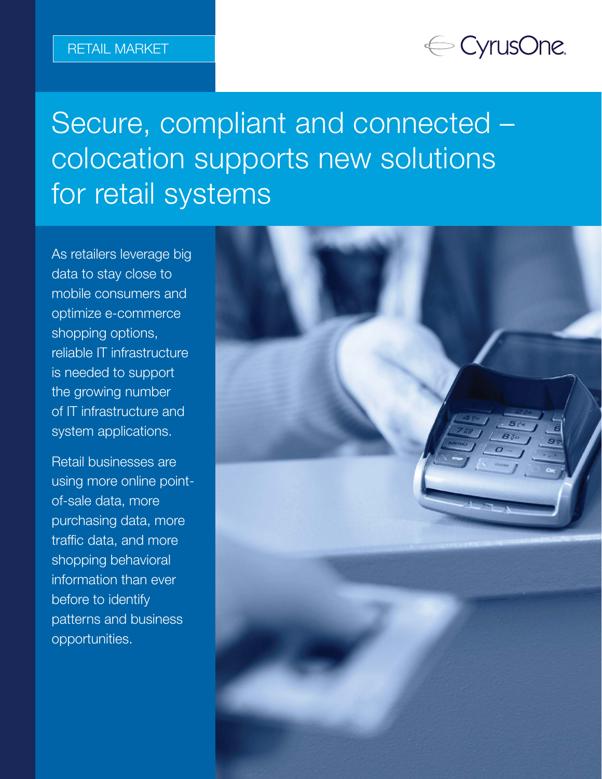## ← CyrusOne.

# Secure, compliant and connected – colocation supports new solutions for retail systems

As retailers leverage big data to stay close to mobile consumers and optimize e-commerce shopping options, reliable IT infrastructure is needed to support the growing number of IT infrastructure and system applications.

Retail businesses are using more online pointof-sale data, more purchasing data, more traffic data, and more shopping behavioral information than ever before to identify patterns and business opportunities.

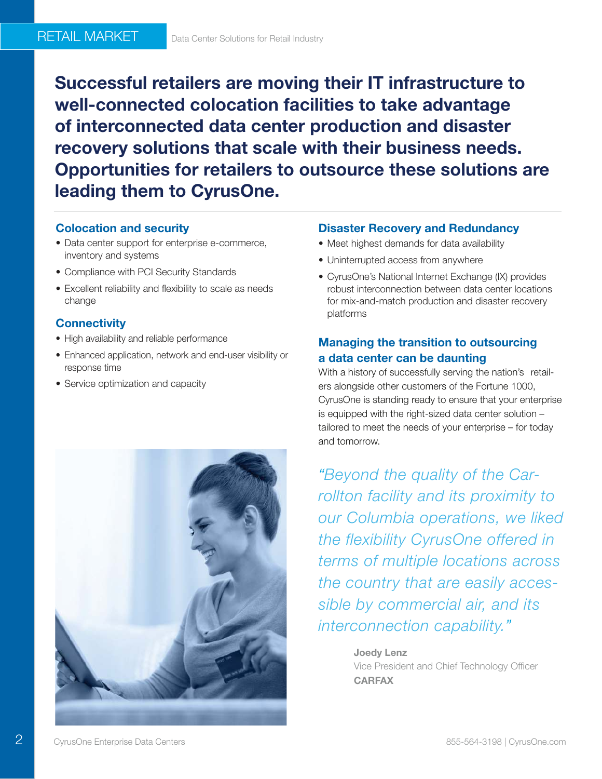Successful retailers are moving their IT infrastructure to well-connected colocation facilities to take advantage of interconnected data center production and disaster recovery solutions that scale with their business needs. Opportunities for retailers to outsource these solutions are leading them to CyrusOne.

#### Colocation and security

- Data center support for enterprise e-commerce, inventory and systems
- Compliance with PCI Security Standards
- Excellent reliability and flexibility to scale as needs change

#### **Connectivity**

- High availability and reliable performance
- Enhanced application, network and end-user visibility or response time
- Service optimization and capacity



- Meet highest demands for data availability
- Uninterrupted access from anywhere
- CyrusOne's National Internet Exchange (IX) provides robust interconnection between data center locations for mix-and-match production and disaster recovery platforms

#### Managing the transition to outsourcing a data center can be daunting

With a history of successfully serving the nation's retailers alongside other customers of the Fortune 1000, CyrusOne is standing ready to ensure that your enterprise is equipped with the right-sized data center solution – tailored to meet the needs of your enterprise – for today and tomorrow.

"Beyond the quality of the Carrollton facility and its proximity to our Columbia operations, we liked the flexibility CyrusOne offered in terms of multiple locations across the country that are easily accessible by commercial air, and its interconnection capability."

> Joedy Lenz Vice President and Chief Technology Officer **CARFAX**

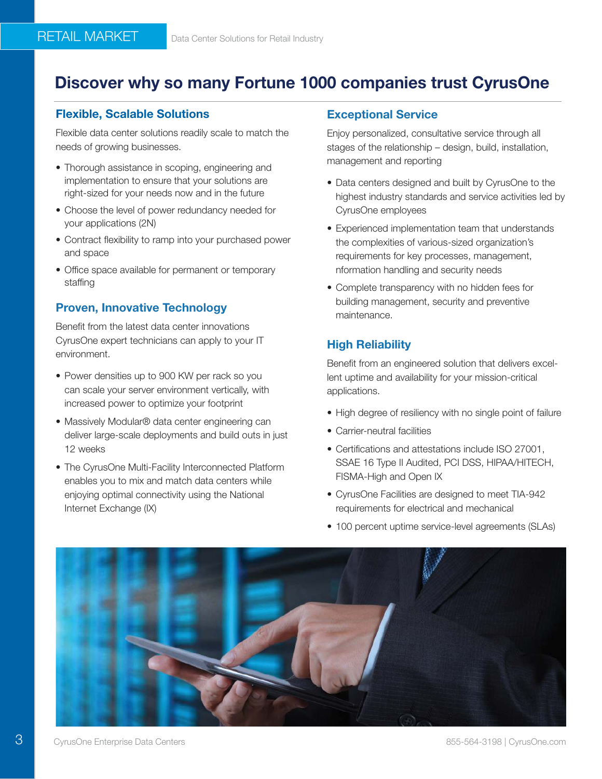### Discover why so many Fortune 1000 companies trust CyrusOne

#### Flexible, Scalable Solutions

RETAIL MARKET

Flexible data center solutions readily scale to match the needs of growing businesses.

- Thorough assistance in scoping, engineering and implementation to ensure that your solutions are right-sized for your needs now and in the future
- Choose the level of power redundancy needed for your applications (2N)
- Contract flexibility to ramp into your purchased power and space
- Office space available for permanent or temporary staffing

#### Proven, Innovative Technology

Benefit from the latest data center innovations CyrusOne expert technicians can apply to your IT environment.

- Power densities up to 900 KW per rack so you can scale your server environment vertically, with increased power to optimize your footprint
- Massively Modular® data center engineering can deliver large-scale deployments and build outs in just 12 weeks
- The CyrusOne Multi-Facility Interconnected Platform enables you to mix and match data centers while enjoying optimal connectivity using the National Internet Exchange (IX)

#### Exceptional Service

Enjoy personalized, consultative service through all stages of the relationship – design, build, installation, management and reporting

- Data centers designed and built by CyrusOne to the highest industry standards and service activities led by CyrusOne employees
- Experienced implementation team that understands the complexities of various-sized organization's requirements for key processes, management, nformation handling and security needs
- Complete transparency with no hidden fees for building management, security and preventive maintenance.

#### High Reliability

Benefit from an engineered solution that delivers excellent uptime and availability for your mission-critical applications.

- High degree of resiliency with no single point of failure
- Carrier-neutral facilities
- Certifications and attestations include ISO 27001, SSAE 16 Type II Audited, PCI DSS, HIPAA/HITECH, FISMA-High and Open IX
- CyrusOne Facilities are designed to meet TIA-942 requirements for electrical and mechanical
- 100 percent uptime service-level agreements (SLAs)